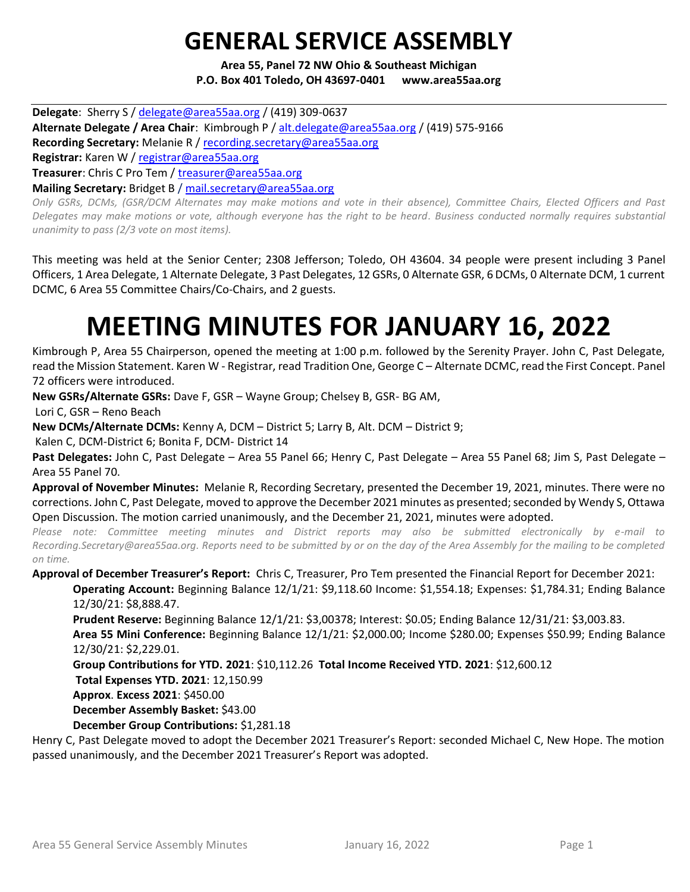## **GENERAL SERVICE ASSEMBLY**

**Area 55, Panel 72 NW Ohio & Southeast Michigan P.O. Box 401 Toledo, OH 43697-0401 www.area55aa.org**

**Delegate**: Sherry S / [delegate@area55aa.org](mailto:delegate@area55aa.org) / (419) 309-0637 **Alternate Delegate / Area Chair**: Kimbrough P [/ alt.delegate@area55aa.org](mailto:alt.delegate@area55aa.org) / (419) 575-9166 **Recording Secretary:** Melanie R / [recording.secretary@area55aa.org](mailto:recording.secretary@area55aa.org) **Registrar:** Karen W / [registrar@area55aa.org](mailto:recording.secretary@area55aa.org) **Treasurer**: Chris C Pro Tem / [treasurer@area55aa.org](mailto:recording.secretary@area55aa.org) **Mailing Secretary:** Bridget B [/ mail.secretary@area55aa.org](mailto:recording.secretary@area55aa.org) *Only GSRs, DCMs, (GSR/DCM Alternates may make motions and vote in their absence), Committee Chairs, Elected Officers and Past* 

*Delegates may make motions or vote, although everyone has the right to be heard. Business conducted normally requires substantial unanimity to pass (2/3 vote on most items).*

This meeting was held at the Senior Center; 2308 Jefferson; Toledo, OH 43604. 34 people were present including 3 Panel Officers, 1 Area Delegate, 1 Alternate Delegate, 3 Past Delegates, 12 GSRs, 0 Alternate GSR, 6 DCMs, 0 Alternate DCM, 1 current DCMC, 6 Area 55 Committee Chairs/Co-Chairs, and 2 guests.

# **MEETING MINUTES FOR JANUARY 16, 2022**

Kimbrough P, Area 55 Chairperson, opened the meeting at 1:00 p.m. followed by the Serenity Prayer. John C, Past Delegate, read the Mission Statement. Karen W - Registrar, read Tradition One, George C – Alternate DCMC, read the First Concept. Panel 72 officers were introduced.

**New GSRs/Alternate GSRs:** Dave F, GSR – Wayne Group; Chelsey B, GSR- BG AM,

Lori C, GSR – Reno Beach

**New DCMs/Alternate DCMs:** Kenny A, DCM – District 5; Larry B, Alt. DCM – District 9;

Kalen C, DCM-District 6; Bonita F, DCM- District 14

**Past Delegates:** John C, Past Delegate – Area 55 Panel 66; Henry C, Past Delegate – Area 55 Panel 68; Jim S, Past Delegate – Area 55 Panel 70.

**Approval of November Minutes:** Melanie R, Recording Secretary, presented the December 19, 2021, minutes. There were no corrections. John C, Past Delegate, moved to approve the December 2021 minutes as presented; seconded by Wendy S, Ottawa Open Discussion. The motion carried unanimously, and the December 21, 2021, minutes were adopted.

*Please note: Committee meeting minutes and District reports may also be submitted electronically by e-mail to Recording.Secretary@area55aa.org. Reports need to be submitted by or on the day of the Area Assembly for the mailing to be completed on time.* 

**Approval of December Treasurer's Report:** Chris C, Treasurer, Pro Tem presented the Financial Report for December 2021: **Operating Account:** Beginning Balance 12/1/21: \$9,118.60 Income: \$1,554.18; Expenses: \$1,784.31; Ending Balance

12/30/21: \$8,888.47.

**Prudent Reserve:** Beginning Balance 12/1/21: \$3,00378; Interest: \$0.05; Ending Balance 12/31/21: \$3,003.83.

**Area 55 Mini Conference:** Beginning Balance 12/1/21: \$2,000.00; Income \$280.00; Expenses \$50.99; Ending Balance 12/30/21: \$2,229.01.

**Group Contributions for YTD. 2021**: \$10,112.26 **Total Income Received YTD. 2021**: \$12,600.12

**Total Expenses YTD. 2021**: 12,150.99

**Approx**. **Excess 2021**: \$450.00

**December Assembly Basket:** \$43.00

**December Group Contributions:** \$1,281.18

Henry C, Past Delegate moved to adopt the December 2021 Treasurer's Report: seconded Michael C, New Hope. The motion passed unanimously, and the December 2021 Treasurer's Report was adopted.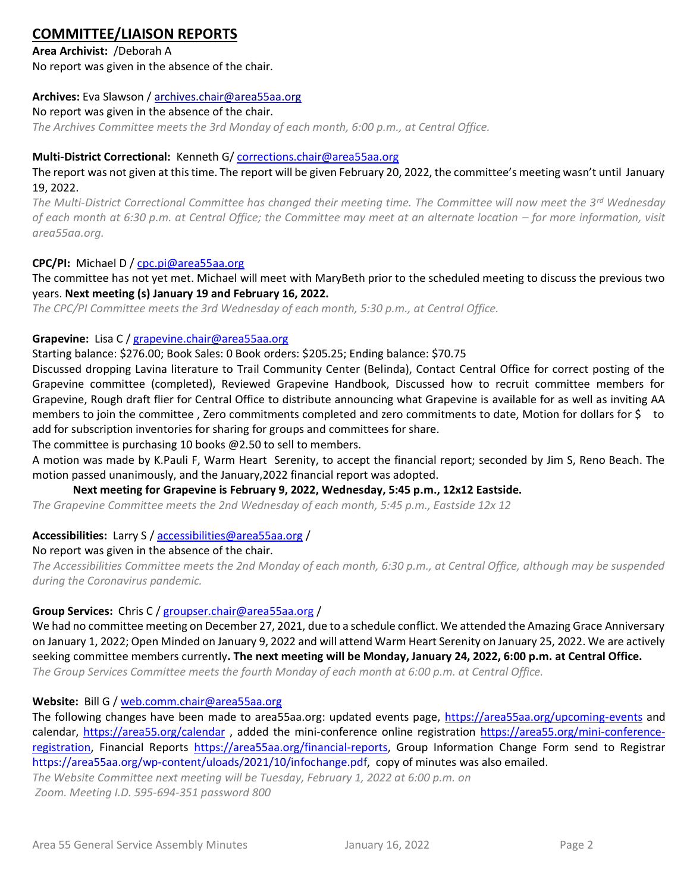## **COMMITTEE/LIAISON REPORTS**

**Area Archivist:** /Deborah A No report was given in the absence of the chair.

#### **Archives:** Eva Slawson / [archives.chair@area55aa.org](mailto:archives.chair@area55aa.org/)

#### No report was given in the absence of the chair.

*The Archives Committee meets the 3rd Monday of each month, 6:00 p.m., at Central Office.*

#### **Multi-District Correctional:** Kenneth G[/ corrections.chair@area55aa.org](mailto:corrections.chair@area55aa.org)

The report was not given at this time. The report will be given February 20, 2022, the committee's meeting wasn't until January 19, 2022.

*The Multi-District Correctional Committee has changed their meeting time. The Committee will now meet the 3rd Wednesday of each month at 6:30 p.m. at Central Office; the Committee may meet at an alternate location – for more information, visit area55aa.org.*

#### **CPC/PI:** Michael D / [cpc.pi@area55aa.org](mailto:cpc.pi@area55aa.org)

The committee has not yet met. Michael will meet with MaryBeth prior to the scheduled meeting to discuss the previous two years. **Next meeting (s) January 19 and February 16, 2022.**

*The CPC/PI Committee meets the 3rd Wednesday of each month, 5:30 p.m., at Central Office.*

#### **Grapevine:** Lisa C / [grapevine.chair@area55aa.org](mailto:grapevine.chair@area55aa.org)

#### Starting balance: \$276.00; Book Sales: 0 Book orders: \$205.25; Ending balance: \$70.75

Discussed dropping Lavina literature to Trail Community Center (Belinda), Contact Central Office for correct posting of the Grapevine committee (completed), Reviewed Grapevine Handbook, Discussed how to recruit committee members for Grapevine, Rough draft flier for Central Office to distribute announcing what Grapevine is available for as well as inviting AA members to join the committee , Zero commitments completed and zero commitments to date, Motion for dollars for \$ to add for subscription inventories for sharing for groups and committees for share.

The committee is purchasing 10 books @2.50 to sell to members.

A motion was made by K.Pauli F, Warm Heart Serenity, to accept the financial report; seconded by Jim S, Reno Beach. The motion passed unanimously, and the January,2022 financial report was adopted.

#### **Next meeting for Grapevine is February 9, 2022, Wednesday, 5:45 p.m., 12x12 Eastside.**

*The Grapevine Committee meets the 2nd Wednesday of each month, 5:45 p.m., Eastside 12x 12*

#### **Accessibilities:** Larry S [/ accessibilities@area55aa.org](mailto:accessibilities@area55aa.org) /

#### No report was given in the absence of the chair.

*The Accessibilities Committee meets the 2nd Monday of each month, 6:30 p.m., at Central Office, although may be suspended during the Coronavirus pandemic.*

#### **Group Services:** Chris C / [groupser.chair@area55aa.org](mailto:groupser.chair@area55aa.org) /

We had no committee meeting on December 27, 2021, due to a schedule conflict. We attended the Amazing Grace Anniversary on January 1, 2022; Open Minded on January 9, 2022 and will attend Warm Heart Serenity on January 25, 2022. We are actively seeking committee members currently**. The next meeting will be Monday, January 24, 2022, 6:00 p.m. at Central Office.** *The Group Services Committee meets the fourth Monday of each month at 6:00 p.m. at Central Office.*

#### **Website:** Bill G / [web.comm.chair@area55aa.org](mailto:web.comm.chair@area55aa.org)

The following changes have been made to area55aa.org: updated events page,<https://area55aa.org/upcoming-events> and calendar,<https://area55.org/calendar> , added the mini-conference online registration [https://area55.org/mini-conference](https://area55.org/mini-conference-registration)[registration,](https://area55.org/mini-conference-registration) Financial Reports [https://area55aa.org/financial-reports,](https://area55aa.org/financial-reports) Group Information Change Form send to Registrar https://area55aa.org/wp-content/uloads/2021/10/infochange.pdf, copy of minutes was also emailed.

*The Website Committee next meeting will be Tuesday, February 1, 2022 at 6:00 p.m. on Zoom. Meeting I.D. 595-694-351 password 800*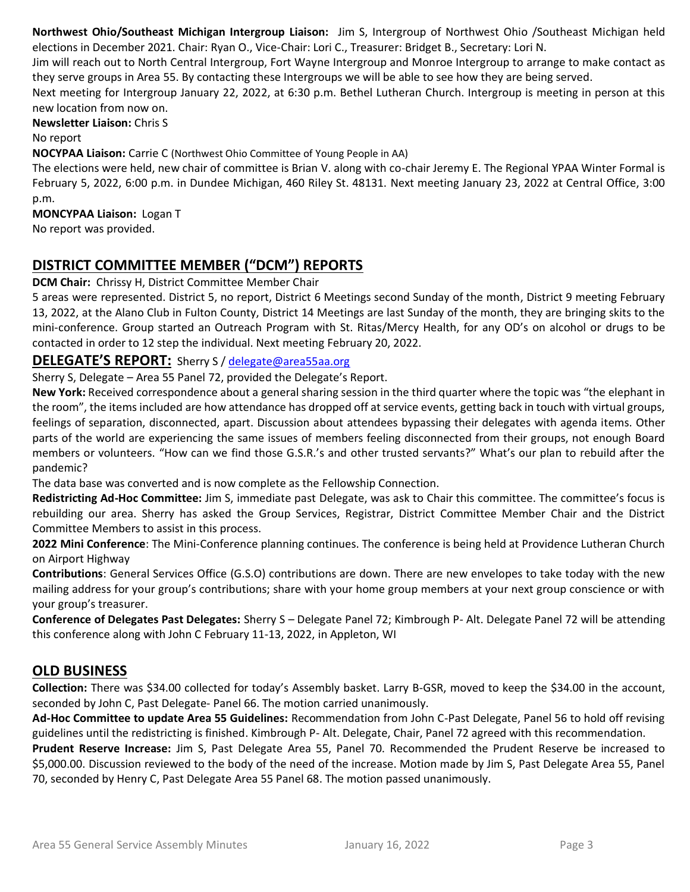**Northwest Ohio/Southeast Michigan Intergroup Liaison:** Jim S, Intergroup of Northwest Ohio /Southeast Michigan held elections in December 2021. Chair: Ryan O., Vice-Chair: Lori C., Treasurer: Bridget B., Secretary: Lori N.

Jim will reach out to North Central Intergroup, Fort Wayne Intergroup and Monroe Intergroup to arrange to make contact as they serve groups in Area 55. By contacting these Intergroups we will be able to see how they are being served.

Next meeting for Intergroup January 22, 2022, at 6:30 p.m. Bethel Lutheran Church. Intergroup is meeting in person at this new location from now on.

**Newsletter Liaison:** Chris S

No report

**NOCYPAA Liaison:** Carrie C (Northwest Ohio Committee of Young People in AA)

The elections were held, new chair of committee is Brian V. along with co-chair Jeremy E. The Regional YPAA Winter Formal is February 5, 2022, 6:00 p.m. in Dundee Michigan, 460 Riley St. 48131. Next meeting January 23, 2022 at Central Office, 3:00 p.m.

**MONCYPAA Liaison:** Logan T No report was provided.

## **DISTRICT COMMITTEE MEMBER ("DCM") REPORTS**

**DCM Chair:** Chrissy H, District Committee Member Chair

5 areas were represented. District 5, no report, District 6 Meetings second Sunday of the month, District 9 meeting February 13, 2022, at the Alano Club in Fulton County, District 14 Meetings are last Sunday of the month, they are bringing skits to the mini-conference. Group started an Outreach Program with St. Ritas/Mercy Health, for any OD's on alcohol or drugs to be contacted in order to 12 step the individual. Next meeting February 20, 2022.

#### **DELEGATE'S REPORT:** Sherry S / [delegate@area55aa.org](mailto:delegate@area55aa.org)

Sherry S, Delegate – Area 55 Panel 72, provided the Delegate's Report.

**New York:** Received correspondence about a general sharing session in the third quarter where the topic was "the elephant in the room", the items included are how attendance has dropped off at service events, getting back in touch with virtual groups, feelings of separation, disconnected, apart. Discussion about attendees bypassing their delegates with agenda items. Other parts of the world are experiencing the same issues of members feeling disconnected from their groups, not enough Board members or volunteers. "How can we find those G.S.R.'s and other trusted servants?" What's our plan to rebuild after the pandemic?

The data base was converted and is now complete as the Fellowship Connection.

**Redistricting Ad-Hoc Committee:** Jim S, immediate past Delegate, was ask to Chair this committee. The committee's focus is rebuilding our area. Sherry has asked the Group Services, Registrar, District Committee Member Chair and the District Committee Members to assist in this process.

**2022 Mini Conference**: The Mini-Conference planning continues. The conference is being held at Providence Lutheran Church on Airport Highway

**Contributions**: General Services Office (G.S.O) contributions are down. There are new envelopes to take today with the new mailing address for your group's contributions; share with your home group members at your next group conscience or with your group's treasurer.

**Conference of Delegates Past Delegates:** Sherry S – Delegate Panel 72; Kimbrough P- Alt. Delegate Panel 72 will be attending this conference along with John C February 11-13, 2022, in Appleton, WI

## **OLD BUSINESS**

**Collection:** There was \$34.00 collected for today's Assembly basket. Larry B-GSR, moved to keep the \$34.00 in the account, seconded by John C, Past Delegate- Panel 66. The motion carried unanimously.

**Ad-Hoc Committee to update Area 55 Guidelines:** Recommendation from John C-Past Delegate, Panel 56 to hold off revising guidelines until the redistricting is finished. Kimbrough P- Alt. Delegate, Chair, Panel 72 agreed with this recommendation.

**Prudent Reserve Increase:** Jim S, Past Delegate Area 55, Panel 70. Recommended the Prudent Reserve be increased to \$5,000.00. Discussion reviewed to the body of the need of the increase. Motion made by Jim S, Past Delegate Area 55, Panel 70, seconded by Henry C, Past Delegate Area 55 Panel 68. The motion passed unanimously.